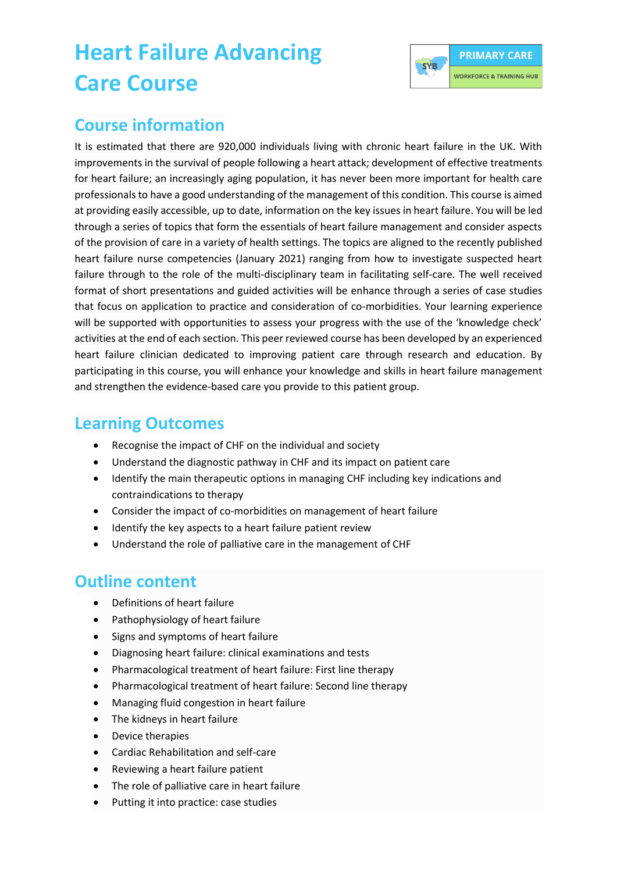# **Heart Failure Advancing Care Course**



#### **Course information**

It is estimated that there are 920,000 individuals living with chronic heart failure in the UK. With improvements in the survival of people following a heart attack; development of effective treatments for heart failure; an increasingly aging population, it has never been more important for health care professionals to have a good understanding of the management of this condition. This course is aimed at providing easily accessible, up to date, information on the key issues in heart failure. You will be led through a series of topics that form the essentials of heart failure management and consider aspects of the provision of care in a variety of health settings. The topics are aligned to the recently published heart failure nurse competencies (January 2021) ranging from how to investigate suspected heart failure through to the role of the multi-disciplinary team in facilitating self-care. The well received format of short presentations and guided activities will be enhance through a series of case studies that focus on application to practice and consideration of co-morbidities. Your learning experience will be supported with opportunities to assess your progress with the use of the 'knowledge check' activities at the end of each section. This peer reviewed course has been developed by an experienced heart failure clinician dedicated to improving patient care through research and education. By participating in this course, you will enhance your knowledge and skills in heart failure management and strengthen the evidence-based care you provide to this patient group.

#### **Learning Outcomes**

- Recognise the impact of CHF on the individual and society
- Understand the diagnostic pathway in CHF and its impact on patient care
- Identify the main therapeutic options in managing CHF including key indications and contraindications to therapy
- Consider the impact of co-morbidities on management of heart failure
- Identify the key aspects to a heart failure patient review
- Understand the role of palliative care in the management of CHF

### **Outline content**

- Definitions of heart failure
- Pathophysiology of heart failure
- Signs and symptoms of heart failure
- Diagnosing heart failure: clinical examinations and tests
- Pharmacological treatment of heart failure: First line therapy
- Pharmacological treatment of heart failure: Second line therapy
- Managing fluid congestion in heart failure
- The kidneys in heart failure
- Device therapies
- Cardiac Rehabilitation and self-care
- Reviewing a heart failure patient
- The role of palliative care in heart failure
- Putting it into practice: case studies